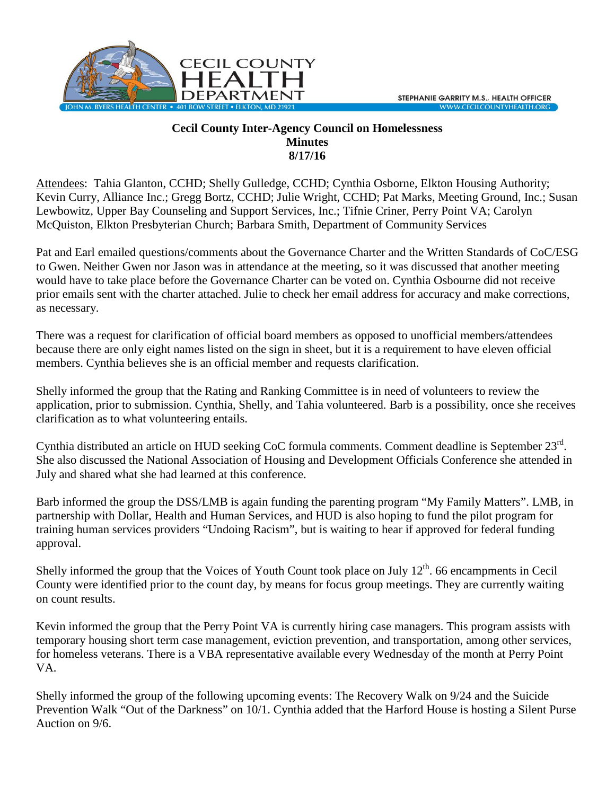

## **Cecil County Inter-Agency Council on Homelessness Minutes 8/17/16**

Attendees: Tahia Glanton, CCHD; Shelly Gulledge, CCHD; Cynthia Osborne, Elkton Housing Authority; Kevin Curry, Alliance Inc.; Gregg Bortz, CCHD; Julie Wright, CCHD; Pat Marks, Meeting Ground, Inc.; Susan Lewbowitz, Upper Bay Counseling and Support Services, Inc.; Tifnie Criner, Perry Point VA; Carolyn McQuiston, Elkton Presbyterian Church; Barbara Smith, Department of Community Services

Pat and Earl emailed questions/comments about the Governance Charter and the Written Standards of CoC/ESG to Gwen. Neither Gwen nor Jason was in attendance at the meeting, so it was discussed that another meeting would have to take place before the Governance Charter can be voted on. Cynthia Osbourne did not receive prior emails sent with the charter attached. Julie to check her email address for accuracy and make corrections, as necessary.

There was a request for clarification of official board members as opposed to unofficial members/attendees because there are only eight names listed on the sign in sheet, but it is a requirement to have eleven official members. Cynthia believes she is an official member and requests clarification.

Shelly informed the group that the Rating and Ranking Committee is in need of volunteers to review the application, prior to submission. Cynthia, Shelly, and Tahia volunteered. Barb is a possibility, once she receives clarification as to what volunteering entails.

Cynthia distributed an article on HUD seeking CoC formula comments. Comment deadline is September 23rd. She also discussed the National Association of Housing and Development Officials Conference she attended in July and shared what she had learned at this conference.

Barb informed the group the DSS/LMB is again funding the parenting program "My Family Matters". LMB, in partnership with Dollar, Health and Human Services, and HUD is also hoping to fund the pilot program for training human services providers "Undoing Racism", but is waiting to hear if approved for federal funding approval.

Shelly informed the group that the Voices of Youth Count took place on July  $12<sup>th</sup>$ . 66 encampments in Cecil County were identified prior to the count day, by means for focus group meetings. They are currently waiting on count results.

Kevin informed the group that the Perry Point VA is currently hiring case managers. This program assists with temporary housing short term case management, eviction prevention, and transportation, among other services, for homeless veterans. There is a VBA representative available every Wednesday of the month at Perry Point VA.

Shelly informed the group of the following upcoming events: The Recovery Walk on 9/24 and the Suicide Prevention Walk "Out of the Darkness" on 10/1. Cynthia added that the Harford House is hosting a Silent Purse Auction on 9/6.